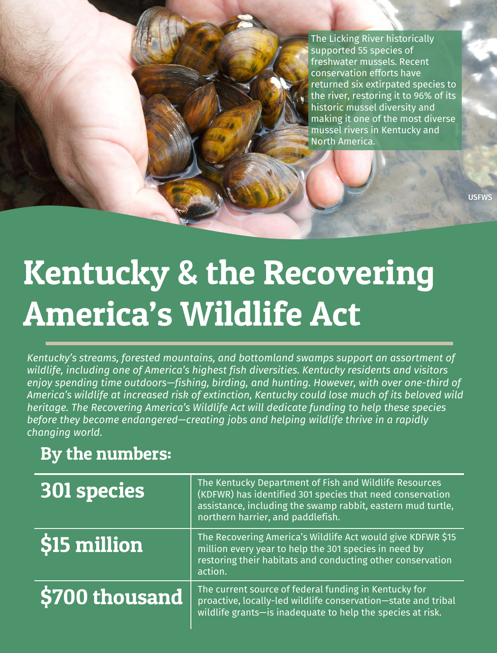The Licking River historically supported 55 species of freshwater mussels. Recent conservation efforts have returned six extirpated species to the river, restoring it to 96% of its historic mussel diversity and making it one of the most diverse mussel rivers in Kentucky and North America.

**USFWS** 

# Kentucky & the Recovering America's Wildlife Act

*Kentucky's streams, forested mountains, and bottomland swamps support an assortment of wildlife, including one of America's highest fish diversities. Kentucky residents and visitors enjoy spending time outdoors—fishing, birding, and hunting. However, with over one-third of America's wildlife at increased risk of extinction, Kentucky could lose much of its beloved wild heritage. The Recovering America's Wildlife Act will dedicate funding to help these species before they become endangered—creating jobs and helping wildlife thrive in a rapidly changing world.*

## By the numbers:

| <b>301 species</b> | The Kentucky Department of Fish and Wildlife Resources<br>(KDFWR) has identified 301 species that need conservation<br>assistance, including the swamp rabbit, eastern mud turtle,<br>northern harrier, and paddlefish. |
|--------------------|-------------------------------------------------------------------------------------------------------------------------------------------------------------------------------------------------------------------------|
| \$15 million       | The Recovering America's Wildlife Act would give KDFWR \$15<br>million every year to help the 301 species in need by<br>restoring their habitats and conducting other conservation<br>action.                           |
| \$700 thousand     | The current source of federal funding in Kentucky for<br>proactive, locally-led wildlife conservation-state and tribal<br>wildlife grants-is inadequate to help the species at risk.                                    |